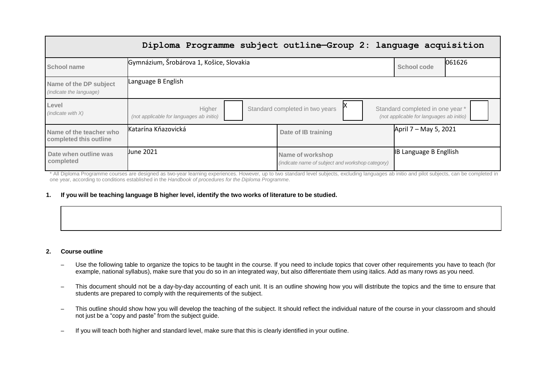|                                                   | Diploma Programme subject outline-Group 2: language acquisition |                                                                      |                                                                              |
|---------------------------------------------------|-----------------------------------------------------------------|----------------------------------------------------------------------|------------------------------------------------------------------------------|
| School name                                       | Gymnázium, Šrobárova 1, Košice, Slovakia                        |                                                                      | 061626<br>School code                                                        |
| Name of the DP subject<br>(indicate the language) | Language B English                                              |                                                                      |                                                                              |
| Level<br>(indicate with $X$ )                     | Higher<br>(not applicable for languages ab initio)              | Standard completed in two years                                      | Standard completed in one year *<br>(not applicable for languages ab initio) |
| Name of the teacher who<br>completed this outline | Katarína Kňazovická                                             | Date of IB training                                                  | April 7 – May 5, 2021                                                        |
| Date when outline was<br>completed                | <b>June 2021</b>                                                | Name of workshop<br>(indicate name of subject and workshop category) | <b>IB Language B English</b>                                                 |

\* All Diploma Programme courses are designed as two-year learning experiences. However, up to two standard level subjects, excluding languages ab initio and pilot subjects, can be completed in one year, according to conditions established in the *Handbook of procedures for the Diploma Programme*.

### 1. If you will be teaching language B higher level, identify the two works of literature to be studied.

#### **2. Course outline**

- Use the following table to organize the topics to be taught in the course. If you need to include topics that cover other requirements you have to teach (for example, national syllabus), make sure that you do so in an integrated way, but also differentiate them using italics. Add as many rows as you need.
- This document should not be a day-by-day accounting of each unit. It is an outline showing how you will distribute the topics and the time to ensure that students are prepared to comply with the requirements of the subject.
- This outline should show how you will develop the teaching of the subject. It should reflect the individual nature of the course in your classroom and should not just be a "copy and paste" from the subject guide.
- If you will teach both higher and standard level, make sure that this is clearly identified in your outline.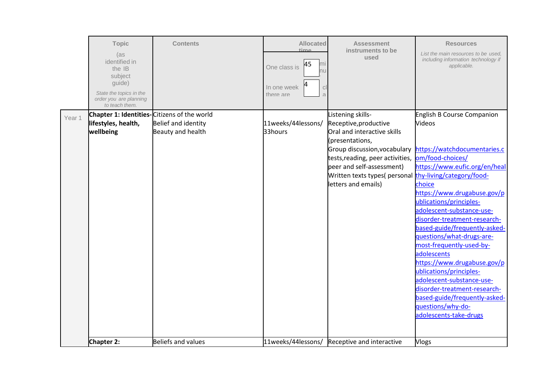|        | <b>Topic</b><br>(as<br>identified in<br>the IB<br>subject<br>guide)<br>State the topics in the<br>order you are planning<br>to teach them. | <b>Contents</b>            | <b>Allocated</b><br>time<br>45<br>mı<br>One class is<br>าน<br>In one week<br>$\mathsf{C}$<br>there are<br>$\overline{a}$ | <b>Assessment</b><br>instruments to be<br>used          | <b>Resources</b><br>List the main resources to be used.<br>including information technology if<br>applicable. |
|--------|--------------------------------------------------------------------------------------------------------------------------------------------|----------------------------|--------------------------------------------------------------------------------------------------------------------------|---------------------------------------------------------|---------------------------------------------------------------------------------------------------------------|
| Year 1 | Chapter 1: Identities-Citizens of the world                                                                                                |                            |                                                                                                                          | Listening skills-                                       | English B Course Companion                                                                                    |
|        | lifestyles, health,                                                                                                                        | <b>Belief and identity</b> | 11weeks/44lessons/                                                                                                       | Receptive, productive                                   | <b>Videos</b>                                                                                                 |
|        | wellbeing                                                                                                                                  | Beauty and health          | 33hours                                                                                                                  | Oral and interactive skills                             |                                                                                                               |
|        |                                                                                                                                            |                            |                                                                                                                          | (presentations,                                         |                                                                                                               |
|        |                                                                                                                                            |                            |                                                                                                                          | Group discussion, vocabulary                            | https://watchdocumentaries.c                                                                                  |
|        |                                                                                                                                            |                            |                                                                                                                          | tests, reading, peer activities,                        | om/food-choices/                                                                                              |
|        |                                                                                                                                            |                            |                                                                                                                          | peer and self-assessment)                               | https://www.eufic.org/en/heal                                                                                 |
|        |                                                                                                                                            |                            |                                                                                                                          | Written texts types( personal thy-living/category/food- |                                                                                                               |
|        |                                                                                                                                            |                            |                                                                                                                          | letters and emails)                                     | choice                                                                                                        |
|        |                                                                                                                                            |                            |                                                                                                                          |                                                         | https://www.drugabuse.gov/p                                                                                   |
|        |                                                                                                                                            |                            |                                                                                                                          |                                                         | ublications/principles-                                                                                       |
|        |                                                                                                                                            |                            |                                                                                                                          |                                                         | adolescent-substance-use-<br>disorder-treatment-research-                                                     |
|        |                                                                                                                                            |                            |                                                                                                                          |                                                         | based-guide/frequently-asked-                                                                                 |
|        |                                                                                                                                            |                            |                                                                                                                          |                                                         | questions/what-drugs-are-                                                                                     |
|        |                                                                                                                                            |                            |                                                                                                                          |                                                         | most-frequently-used-by-                                                                                      |
|        |                                                                                                                                            |                            |                                                                                                                          |                                                         | adolescents                                                                                                   |
|        |                                                                                                                                            |                            |                                                                                                                          |                                                         | https://www.drugabuse.gov/p                                                                                   |
|        |                                                                                                                                            |                            |                                                                                                                          |                                                         | ublications/principles-                                                                                       |
|        |                                                                                                                                            |                            |                                                                                                                          |                                                         | adolescent-substance-use-                                                                                     |
|        |                                                                                                                                            |                            |                                                                                                                          |                                                         | disorder-treatment-research-                                                                                  |
|        |                                                                                                                                            |                            |                                                                                                                          |                                                         | based-guide/frequently-asked-                                                                                 |
|        |                                                                                                                                            |                            |                                                                                                                          |                                                         | questions/why-do-                                                                                             |
|        |                                                                                                                                            |                            |                                                                                                                          |                                                         | adolescents-take-drugs                                                                                        |
|        |                                                                                                                                            |                            |                                                                                                                          |                                                         |                                                                                                               |
|        | Chapter 2:                                                                                                                                 | <b>Beliefs and values</b>  | 11weeks/44lessons/                                                                                                       | Receptive and interactive                               | <b>Vlogs</b>                                                                                                  |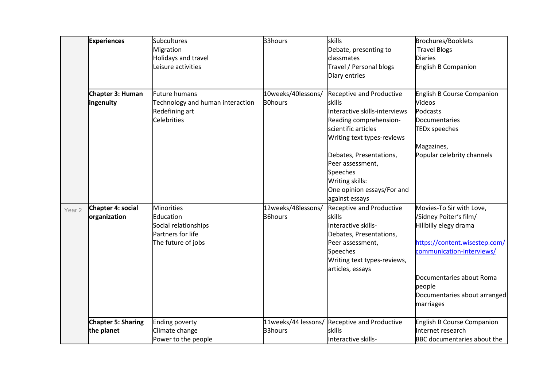|                   | <b>Experiences</b>                      | <b>Subcultures</b><br>Migration<br>Holidays and travel<br>Leisure activities                      | 33hours                        | skills<br>Debate, presenting to<br>classmates<br>Travel / Personal blogs<br>Diary entries                                                                                                                                                                             | <b>Brochures/Booklets</b><br><b>Travel Blogs</b><br><b>Diaries</b><br>English B Companion                                                                                                                                    |
|-------------------|-----------------------------------------|---------------------------------------------------------------------------------------------------|--------------------------------|-----------------------------------------------------------------------------------------------------------------------------------------------------------------------------------------------------------------------------------------------------------------------|------------------------------------------------------------------------------------------------------------------------------------------------------------------------------------------------------------------------------|
|                   | Chapter 3: Human<br>ingenuity           | Future humans<br>Technology and human interaction<br>Redefining art<br>Celebrities                | 10weeks/40lessons/<br>30hours  | <b>Receptive and Productive</b><br>skills<br>Interactive skills-interviews<br>Reading comprehension-<br>scientific articles<br>Writing text types-reviews<br>Debates, Presentations,<br>Peer assessment,<br>Speeches<br>Writing skills:<br>One opinion essays/For and | <b>English B Course Companion</b><br><b>Videos</b><br>Podcasts<br><b>Documentaries</b><br><b>TEDx speeches</b><br>Magazines,<br>Popular celebrity channels                                                                   |
| Year <sub>2</sub> | Chapter 4: social<br>organization       | <b>Minorities</b><br>Education<br>Social relationships<br>Partners for life<br>The future of jobs | 12weeks/48lessons/<br>36hours  | against essays<br><b>Receptive and Productive</b><br>skills<br>Interactive skills-<br>Debates, Presentations,<br>Peer assessment,<br>Speeches<br>Writing text types-reviews,<br>articles, essays                                                                      | Movies-To Sir with Love,<br>/Sidney Poiter's film/<br>Hillbilly elegy drama<br>https://content.wisestep.com/<br>communication-interviews/<br>Documentaries about Roma<br>people<br>Documentaries about arranged<br>marriages |
|                   | <b>Chapter 5: Sharing</b><br>the planet | <b>Ending poverty</b><br>Climate change<br>Power to the people                                    | 11weeks/44 lessons/<br>33hours | Receptive and Productive<br>skills<br>Interactive skills-                                                                                                                                                                                                             | English B Course Companion<br>Internet research<br><b>BBC</b> documentaries about the                                                                                                                                        |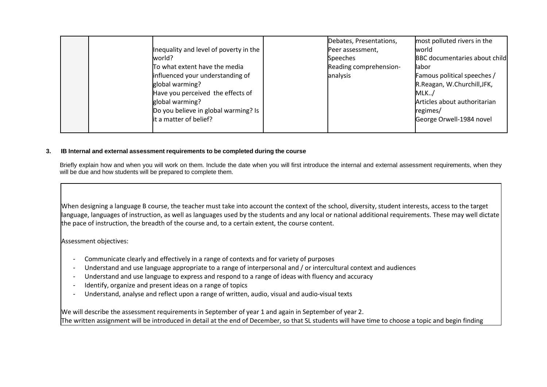| Inequality and level of poverty in the<br>world?<br>To what extent have the media<br>influenced your understanding of<br>global warming?<br>Have you perceived the effects of<br>global warming?<br>Do you believe in global warming? Is<br>it a matter of belief? | Debates, Presentations,<br>Peer assessment,<br>Speeches<br>Reading comprehension-<br>analysis | most polluted rivers in the<br>world<br><b>BBC</b> documentaries about child<br>llabor<br>Famous political speeches /<br>R.Reagan, W.Churchill, JFK,<br>MLK.<br>Articles about authoritarian<br>regimes/<br>George Orwell-1984 novel |
|--------------------------------------------------------------------------------------------------------------------------------------------------------------------------------------------------------------------------------------------------------------------|-----------------------------------------------------------------------------------------------|--------------------------------------------------------------------------------------------------------------------------------------------------------------------------------------------------------------------------------------|
|                                                                                                                                                                                                                                                                    |                                                                                               |                                                                                                                                                                                                                                      |

# **3. IB Internal and external assessment requirements to be completed during the course**

Briefly explain how and when you will work on them. Include the date when you will first introduce the internal and external assessment requirements, when they will be due and how students will be prepared to complete them.

When designing a language B course, the teacher must take into account the context of the school, diversity, student interests, access to the target language, languages of instruction, as well as languages used by the students and any local or national additional requirements. These may well dictate the pace of instruction, the breadth of the course and, to a certain extent, the course content.

Assessment objectives:

- Communicate clearly and effectively in a range of contexts and for variety of purposes
- Understand and use language appropriate to a range of interpersonal and / or intercultural context and audiences
- Understand and use language to express and respond to a range of ideas with fluency and accuracy
- Identify, organize and present ideas on a range of topics
- Understand, analyse and reflect upon a range of written, audio, visual and audio-visual texts

We will describe the assessment requirements in September of year 1 and again in September of year 2. The written assignment will be introduced in detail at the end of December, so that SL students will have time to choose a topic and begin finding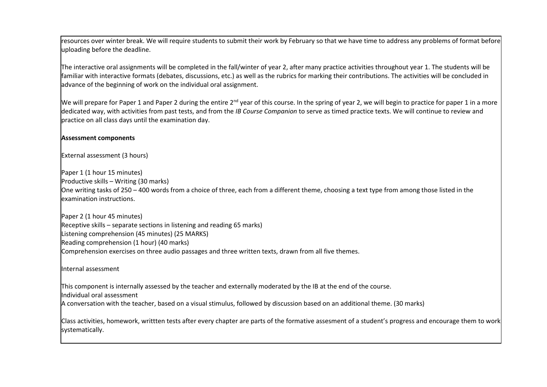resources over winter break. We will require students to submit their work by February so that we have time to address any problems of format before uploading before the deadline.

The interactive oral assignments will be completed in the fall/winter of year 2, after many practice activities throughout year 1. The students will be familiar with interactive formats (debates, discussions, etc.) as well as the rubrics for marking their contributions. The activities will be concluded in advance of the beginning of work on the individual oral assignment.

We will prepare for Paper 1 and Paper 2 during the entire  $2^{nd}$  year of this course. In the spring of year 2, we will begin to practice for paper 1 in a more dedicated way, with activities from past tests, and from the *IB Course Companion* to serve as timed practice texts. We will continue to review and practice on all class days until the examination day.

### **Assessment components**

External assessment (3 hours)

Paper 1 (1 hour 15 minutes) Productive skills – Writing (30 marks) One writing tasks of 250 – 400 words from a choice of three, each from a different theme, choosing a text type from among those listed in the examination instructions.

Paper 2 (1 hour 45 minutes) Receptive skills – separate sections in listening and reading 65 marks) Listening comprehension (45 minutes) (25 MARKS) Reading comprehension (1 hour) (40 marks) Comprehension exercises on three audio passages and three written texts, drawn from all five themes.

Internal assessment

This component is internally assessed by the teacher and externally moderated by the IB at the end of the course.

Individual oral assessment

A conversation with the teacher, based on a visual stimulus, followed by discussion based on an additional theme. (30 marks)

Class activities, homework, writtten tests after every chapter are parts of the formative assesment of a student's progress and encourage them to work systematically.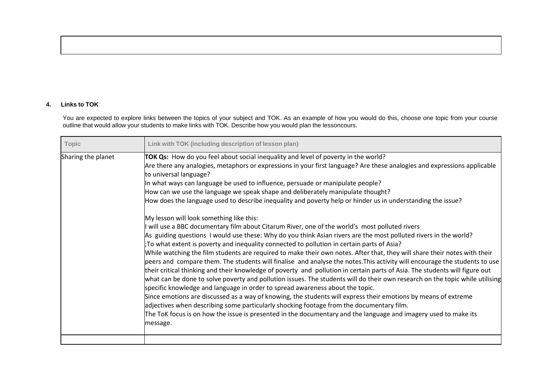# **4. Links to TOK**

You are expected to explore links between the topics of your subject and TOK. As an example of how you would do this, choose one topic from your course outline that would allow your students to make links with TOK. Describe how you would plan the lessoncours.

| Topic              | Link with TOK (including description of lesson plan)                                                                                                                                                                                                                                                                                                                                                                                                                                                                                                                                                                                                                                                                                                                                                                                                                                                                                                                                                                                                                                                                                                                                                                                                                                                                                                                                                                                                                                                                                                                                                                                                                                                                                                                                                                                               |
|--------------------|----------------------------------------------------------------------------------------------------------------------------------------------------------------------------------------------------------------------------------------------------------------------------------------------------------------------------------------------------------------------------------------------------------------------------------------------------------------------------------------------------------------------------------------------------------------------------------------------------------------------------------------------------------------------------------------------------------------------------------------------------------------------------------------------------------------------------------------------------------------------------------------------------------------------------------------------------------------------------------------------------------------------------------------------------------------------------------------------------------------------------------------------------------------------------------------------------------------------------------------------------------------------------------------------------------------------------------------------------------------------------------------------------------------------------------------------------------------------------------------------------------------------------------------------------------------------------------------------------------------------------------------------------------------------------------------------------------------------------------------------------------------------------------------------------------------------------------------------------|
| Sharing the planet | TOK Qs: How do you feel about social inequality and level of poverty in the world?<br>Are there any analogies, metaphors or expressions in your first language? Are these analogies and expressions applicable<br>to universal language?<br>In what ways can language be used to influence, persuade or manipulate people?<br>How can we use the language we speak shape and deliberately manipulate thought?<br>How does the language used to describe inequality and poverty help or hinder us in understanding the issue?<br>My lesson will look something like this:<br>will use a BBC documentary film about Citarum River, one of the world's most polluted rivers<br>As guiding questions I would use these: Why do you think Asian rivers are the most polluted rivers in the world?<br>;To what extent is poverty and inequality connected to pollution in certain parts of Asia?<br>While watching the film students are required to make their own notes. After that, they will share their notes with their<br>peers and compare them. The students will finalise and analyse the notes. This activity will encourage the students to use<br>their critical thinking and their knowledge of poverty and pollution in certain parts of Asia. The students will figure out<br>what can be done to solve poverty and pollution issues. The students will do their own research on the topic while utilising<br>specific knowledge and language in order to spread awareness about the topic.<br>Since emotions are discussed as a way of knowing, the students will express their emotions by means of extreme<br>adjectives when describing some particularly shocking footage from the documentary film.<br>The ToK focus is on how the issue is presented in the documentary and the language and imagery used to make its<br>message. |
|                    |                                                                                                                                                                                                                                                                                                                                                                                                                                                                                                                                                                                                                                                                                                                                                                                                                                                                                                                                                                                                                                                                                                                                                                                                                                                                                                                                                                                                                                                                                                                                                                                                                                                                                                                                                                                                                                                    |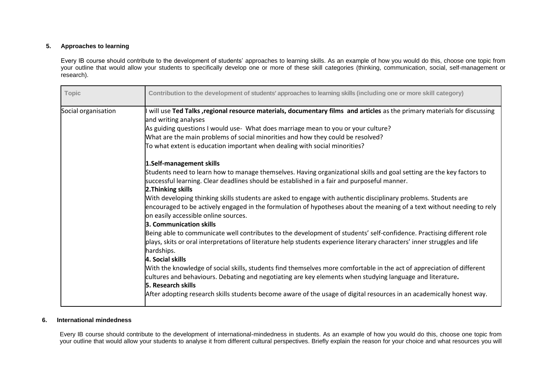### **5. Approaches to learning**

Every IB course should contribute to the development of students' approaches to learning skills. As an example of how you would do this, choose one topic from your outline that would allow your students to specifically develop one or more of these skill categories (thinking, communication, social, self-management or research).

| <b>Topic</b>        | Contribution to the development of students' approaches to learning skills (including one or more skill category)                                                                                                                                                                                                                                                                                                                                                                                                                                                                                                                                                                                                                                                                                                                                                                                                                                                                                                                                                                                                                                                                                                                                                                                                                                                                                                                                                                                                                                                                                                                                                                     |
|---------------------|---------------------------------------------------------------------------------------------------------------------------------------------------------------------------------------------------------------------------------------------------------------------------------------------------------------------------------------------------------------------------------------------------------------------------------------------------------------------------------------------------------------------------------------------------------------------------------------------------------------------------------------------------------------------------------------------------------------------------------------------------------------------------------------------------------------------------------------------------------------------------------------------------------------------------------------------------------------------------------------------------------------------------------------------------------------------------------------------------------------------------------------------------------------------------------------------------------------------------------------------------------------------------------------------------------------------------------------------------------------------------------------------------------------------------------------------------------------------------------------------------------------------------------------------------------------------------------------------------------------------------------------------------------------------------------------|
| Social organisation | will use Ted Talks , regional resource materials, documentary films and articles as the primary materials for discussing<br>and writing analyses<br>As guiding questions I would use- What does marriage mean to you or your culture?<br>What are the main problems of social minorities and how they could be resolved?<br>To what extent is education important when dealing with social minorities?<br>1.Self-management skills<br>Students need to learn how to manage themselves. Having organizational skills and goal setting are the key factors to<br>successful learning. Clear deadlines should be established in a fair and purposeful manner.<br>2. Thinking skills<br>With developing thinking skills students are asked to engage with authentic disciplinary problems. Students are<br>encouraged to be actively engaged in the formulation of hypotheses about the meaning of a text without needing to rely<br>on easily accessible online sources.<br>3. Communication skills<br>Being able to communicate well contributes to the development of students' self-confidence. Practising different role<br>plays, skits or oral interpretations of literature help students experience literary characters' inner struggles and life<br>hardships.<br>4. Social skills<br>With the knowledge of social skills, students find themselves more comfortable in the act of appreciation of different<br>cultures and behaviours. Debating and negotiating are key elements when studying language and literature.<br><b>5. Research skills</b><br>After adopting research skills students become aware of the usage of digital resources in an academically honest way. |

## **6. International mindedness**

Every IB course should contribute to the development of international-mindedness in students. As an example of how you would do this, choose one topic from your outline that would allow your students to analyse it from different cultural perspectives. Briefly explain the reason for your choice and what resources you will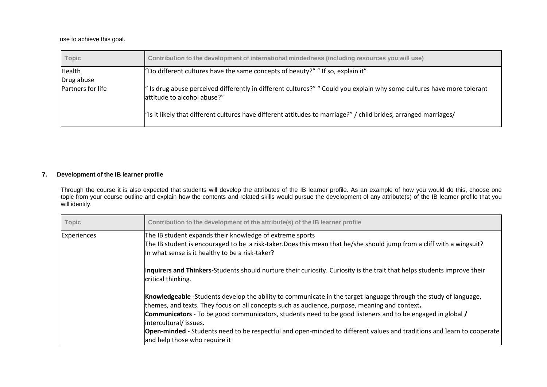use to achieve this goal.

| <b>Topic</b>      | Contribution to the development of international mindedness (including resources you will use)                                                        |
|-------------------|-------------------------------------------------------------------------------------------------------------------------------------------------------|
| Health            | "Do different cultures have the same concepts of beauty?" "If so, explain it"                                                                         |
| Drug abuse        |                                                                                                                                                       |
| Partners for life | ' Is drug abuse perceived differently in different cultures?" " Could you explain why some cultures have more tolerant<br>attitude to alcohol abuse?" |
|                   | "Is it likely that different cultures have different attitudes to marriage?" / child brides, arranged marriages/                                      |

### **7. Development of the IB learner profile**

Through the course it is also expected that students will develop the attributes of the IB learner profile. As an example of how you would do this, choose one topic from your course outline and explain how the contents and related skills would pursue the development of any attribute(s) of the IB learner profile that you will identify.

| <b>Topic</b>       | Contribution to the development of the attribute(s) of the IB learner profile                                                                                                                                                                                                                                                                                                                                                                                                                                       |
|--------------------|---------------------------------------------------------------------------------------------------------------------------------------------------------------------------------------------------------------------------------------------------------------------------------------------------------------------------------------------------------------------------------------------------------------------------------------------------------------------------------------------------------------------|
| <b>Experiences</b> | The IB student expands their knowledge of extreme sports<br>The IB student is encouraged to be a risk-taker.Does this mean that he/she should jump from a cliff with a wingsuit?<br>In what sense is it healthy to be a risk-taker?                                                                                                                                                                                                                                                                                 |
|                    | Inquirers and Thinkers-Students should nurture their curiosity. Curiosity is the trait that helps students improve their<br>critical thinking.                                                                                                                                                                                                                                                                                                                                                                      |
|                    | Knowledgeable -Students develop the ability to communicate in the target language through the study of language,<br>themes, and texts. They focus on all concepts such as audience, purpose, meaning and context.<br>Communicators - To be good communicators, students need to be good listeners and to be engaged in global /<br>intercultural/issues.<br>Open-minded - Students need to be respectful and open-minded to different values and traditions and learn to cooperate<br>and help those who require it |